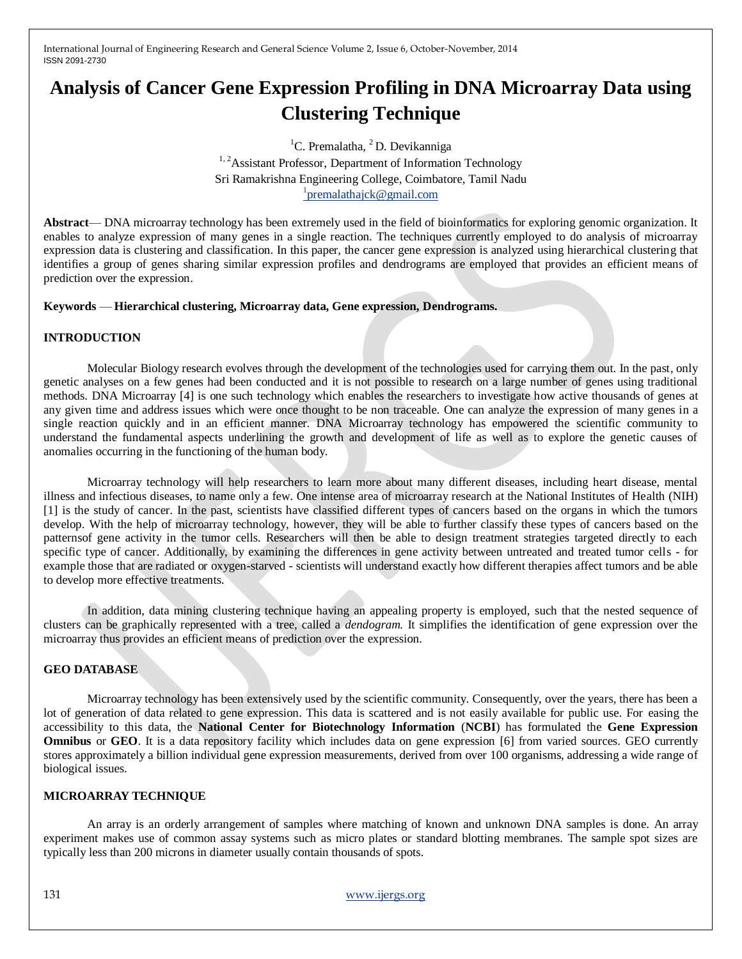# **Analysis of Cancer Gene Expression Profiling in DNA Microarray Data using Clustering Technique**

 ${}^{1}$ C. Premalatha,  ${}^{2}$ D. Devikanniga <sup>1, 2</sup>Assistant Professor, Department of Information Technology Sri Ramakrishna Engineering College, Coimbatore, Tamil Nadu <sup>1</sup> [premalathajck@gmail.com](mailto:1premalathajck@gmail.com)

**Abstract**— DNA microarray technology has been extremely used in the field of bioinformatics for exploring genomic organization. It enables to analyze expression of many genes in a single reaction. The techniques currently employed to do analysis of microarray expression data is clustering and classification. In this paper, the cancer gene expression is analyzed using hierarchical clustering that identifies a group of genes sharing similar expression profiles and dendrograms are employed that provides an efficient means of prediction over the expression.

**Keywords** — **Hierarchical clustering, Microarray data, Gene expression, Dendrograms.**

# **INTRODUCTION**

Molecular Biology research evolves through the development of the technologies used for carrying them out. In the past, only genetic analyses on a few genes had been conducted and it is not possible to research on a large number of genes using traditional methods. DNA Microarray [4] is one such technology which enables the researchers to investigate how active thousands of genes at any given time and address issues which were once thought to be non traceable. One can analyze the expression of many genes in a single reaction quickly and in an efficient manner. DNA Microarray technology has empowered the scientific community to understand the fundamental aspects underlining the growth and development of life as well as to explore the genetic causes of anomalies occurring in the functioning of the human body.

Microarray technology will help researchers to learn more about many different diseases, including heart disease, mental illness and infectious diseases, to name only a few. One intense area of microarray research at the National Institutes of Health (NIH) [1] is the study of cancer. In the past, scientists have classified different types of cancers based on the organs in which the tumors develop. With the help of microarray technology, however, they will be able to further classify these types of cancers based on the patternsof gene activity in the tumor cells. Researchers will then be able to design treatment strategies targeted directly to each specific type of cancer. Additionally, by examining the differences in gene activity between untreated and treated tumor cells - for example those that are radiated or oxygen-starved - scientists will understand exactly how different therapies affect tumors and be able to develop more effective treatments.

In addition, data mining clustering technique having an appealing property is employed, such that the nested sequence of clusters can be graphically represented with a tree, called a *dendogram.* It simplifies the identification of gene expression over the microarray thus provides an efficient means of prediction over the expression*.*

#### **GEO DATABASE**

Microarray technology has been extensively used by the scientific community. Consequently, over the years, there has been a lot of generation of data related to gene expression. This data is scattered and is not easily available for public use. For easing the accessibility to this data, the **National Center for Biotechnology Information** (**NCBI**) has formulated the **Gene Expression Omnibus** or **GEO**. It is a data repository facility which includes data on gene expression [6] from varied sources. GEO currently stores approximately a billion individual gene expression measurements, derived from over 100 organisms, addressing a wide range of biological issues.

# **MICROARRAY TECHNIQUE**

An array is an orderly arrangement of samples where matching of known and unknown DNA samples is done. An array experiment makes use of common assay systems such as micro plates or standard blotting membranes. The sample spot sizes are typically less than 200 microns in diameter usually contain thousands of spots.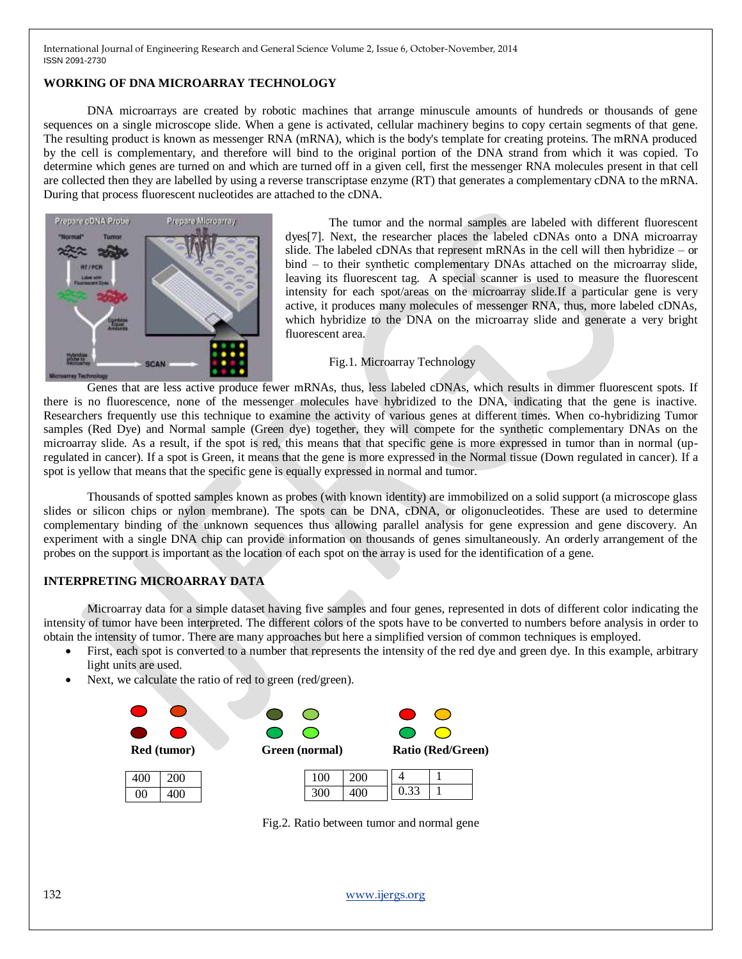#### **WORKING OF DNA MICROARRAY TECHNOLOGY**

DNA microarrays are created by robotic machines that arrange minuscule amounts of hundreds or thousands of gene sequences on a single microscope slide. When a gene is activated, cellular machinery begins to copy certain segments of that gene. The resulting product is known as messenger RNA (mRNA), which is the body's template for creating proteins. The mRNA produced by the cell is complementary, and therefore will bind to the original portion of the DNA strand from which it was copied. To determine which genes are turned on and which are turned off in a given cell, first the messenger RNA molecules present in that cell are collected then they are labelled by using a reverse transcriptase enzyme (RT) that generates a complementary cDNA to the mRNA. During that process fluorescent nucleotides are attached to the cDNA.



The tumor and the normal samples are labeled with different fluorescent dyes[7]. Next, the researcher places the labeled cDNAs onto a DNA microarray slide. The labeled cDNAs that represent mRNAs in the cell will then hybridize – or bind – to their synthetic complementary DNAs attached on the microarray slide, leaving its fluorescent tag. A special scanner is used to measure the fluorescent intensity for each spot/areas on the microarray slide.If a particular gene is very active, it produces many molecules of messenger RNA, thus, more labeled cDNAs, which hybridize to the DNA on the microarray slide and generate a very bright fluorescent area.

#### Fig.1. Microarray Technology

Genes that are less active produce fewer mRNAs, thus, less labeled cDNAs, which results in dimmer fluorescent spots. If there is no fluorescence, none of the messenger molecules have hybridized to the DNA, indicating that the gene is inactive. Researchers frequently use this technique to examine the activity of various genes at different times. When co-hybridizing Tumor samples (Red Dye) and Normal sample (Green dye) together, they will compete for the synthetic complementary DNAs on the microarray slide. As a result, if the spot is red, this means that that specific gene is more expressed in tumor than in normal (upregulated in cancer). If a spot is Green, it means that the gene is more expressed in the Normal tissue (Down regulated in cancer). If a spot is yellow that means that the specific gene is equally expressed in normal and tumor.

Thousands of spotted samples known as probes (with known identity) are immobilized on a solid support (a microscope glass slides or silicon chips or nylon membrane). The spots can be DNA, cDNA, or oligonucleotides. These are used to determine complementary binding of the unknown sequences thus allowing parallel analysis for gene expression and gene discovery. An experiment with a single DNA chip can provide information on thousands of genes simultaneously. An orderly arrangement of the probes on the support is important as the location of each spot on the array is used for the identification of a gene.

#### **INTERPRETING MICROARRAY DATA**

Microarray data for a simple dataset having five samples and four genes, represented in dots of different color indicating the intensity of tumor have been interpreted. The different colors of the spots have to be converted to numbers before analysis in order to obtain the intensity of tumor. There are many approaches but here a simplified version of common techniques is employed.

- First, each spot is converted to a number that represents the intensity of the red dye and green dye. In this example, arbitrary light units are used.
- Next, we calculate the ratio of red to green (red/green).



Fig.2. Ratio between tumor and normal gene

132 [www.ijergs.org](http://www.ijergs.org/)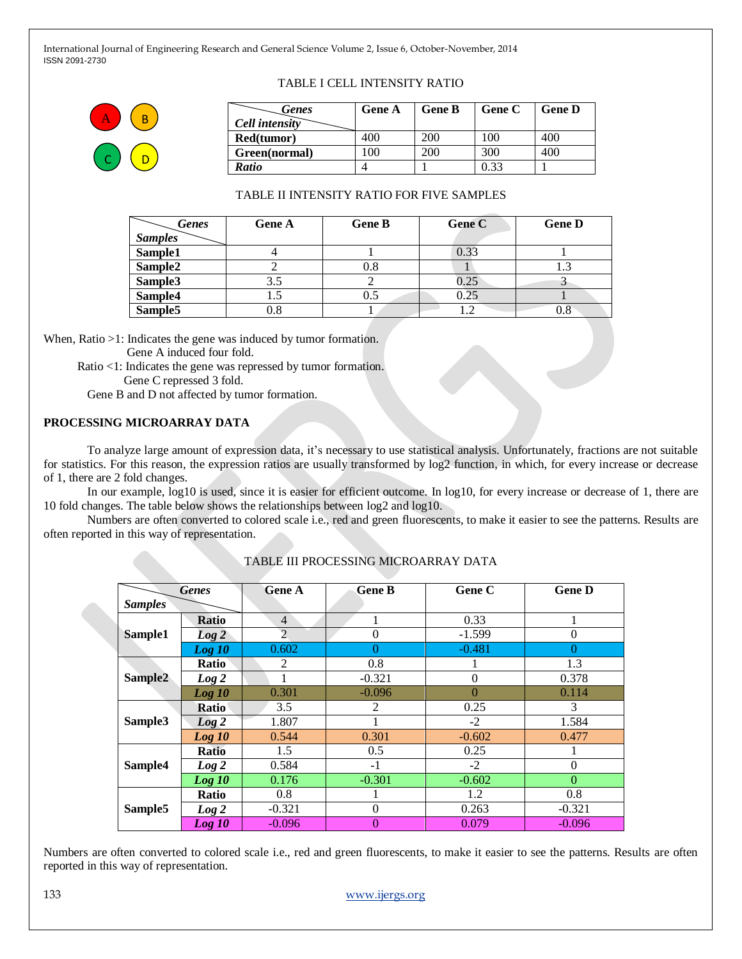## TABLE I CELL INTENSITY RATIO



| Genes             | <b>Gene A</b> | <b>Gene B</b> | <b>Gene C</b>   | <b>Gene D</b> |
|-------------------|---------------|---------------|-----------------|---------------|
| Cell intensity    |               |               |                 |               |
| <b>Red(tumor)</b> | 400           | 200           | 00 <sub>1</sub> | 400           |
| Green(normal)     | 100           | 200           | 300             | 400           |
| Ratio             |               |               | 0.33            |               |

#### TABLE II INTENSITY RATIO FOR FIVE SAMPLES

| Genes          | <b>Gene A</b> | <b>Gene B</b> | Gene C | <b>Gene D</b> |
|----------------|---------------|---------------|--------|---------------|
| <b>Samples</b> |               |               |        |               |
| Sample1        |               |               | 0.33   |               |
| Sample2        |               | 0.8           |        |               |
| Sample3        |               |               | 0.25   |               |
| Sample4        |               | 0.5           | 0.25   |               |
| Sample5        |               |               | ി      | $\rm 0.8$     |

When, Ratio >1: Indicates the gene was induced by tumor formation.

Gene A induced four fold.

 Ratio <1: Indicates the gene was repressed by tumor formation. Gene C repressed 3 fold.

Gene B and D not affected by tumor formation.

#### **PROCESSING MICROARRAY DATA**

To analyze large amount of expression data, it's necessary to use statistical analysis. Unfortunately, fractions are not suitable for statistics. For this reason, the expression ratios are usually transformed by log2 function, in which, for every increase or decrease of 1, there are 2 fold changes.

In our example, log10 is used, since it is easier for efficient outcome. In log10, for every increase or decrease of 1, there are 10 fold changes. The table below shows the relationships between log2 and log10.

Numbers are often converted to colored scale i.e., red and green fluorescents, to make it easier to see the patterns. Results are often reported in this way of representation.

|                     | <b>Genes</b> | <b>Gene A</b>  | <b>Gene B</b>  | Gene C   | <b>Gene D</b> |
|---------------------|--------------|----------------|----------------|----------|---------------|
| <b>Samples</b>      |              |                |                |          |               |
|                     | Ratio        | $\overline{4}$ | 1              | 0.33     | 1             |
| Sample1             | Log 2        | $\overline{2}$ | $\theta$       | $-1.599$ | $\Omega$      |
|                     | Log 10       | 0.602          | $\theta$       | $-0.481$ | $\Omega$      |
|                     | <b>Ratio</b> | 2              | 0.8            |          | 1.3           |
| Sample2             | Log 2        |                | $-0.321$       | $\theta$ | 0.378         |
|                     | Log 10       | 0.301          | $-0.096$       | $\Omega$ | 0.114         |
|                     | Ratio        | 3.5            | $\overline{2}$ | 0.25     | 3             |
| Sample3             | Log 2        | 1.807          | 1              | $-2$     | 1.584         |
|                     | Log 10       | 0.544          | 0.301          | $-0.602$ | 0.477         |
|                     | <b>Ratio</b> | 1.5            | 0.5            | 0.25     |               |
| Sample4             | Log 2        | 0.584          | $-1$           | $-2$     | $\Omega$      |
|                     | Log 10       | 0.176          | $-0.301$       | $-0.602$ | $\Omega$      |
|                     | Ratio        | 0.8            |                | 1.2      | 0.8           |
| Sample <sub>5</sub> | Log 2        | $-0.321$       | $\theta$       | 0.263    | $-0.321$      |
|                     | Log 10       | $-0.096$       | $\overline{0}$ | 0.079    | $-0.096$      |

#### TABLE III PROCESSING MICROARRAY DATA

Numbers are often converted to colored scale i.e., red and green fluorescents, to make it easier to see the patterns. Results are often reported in this way of representation.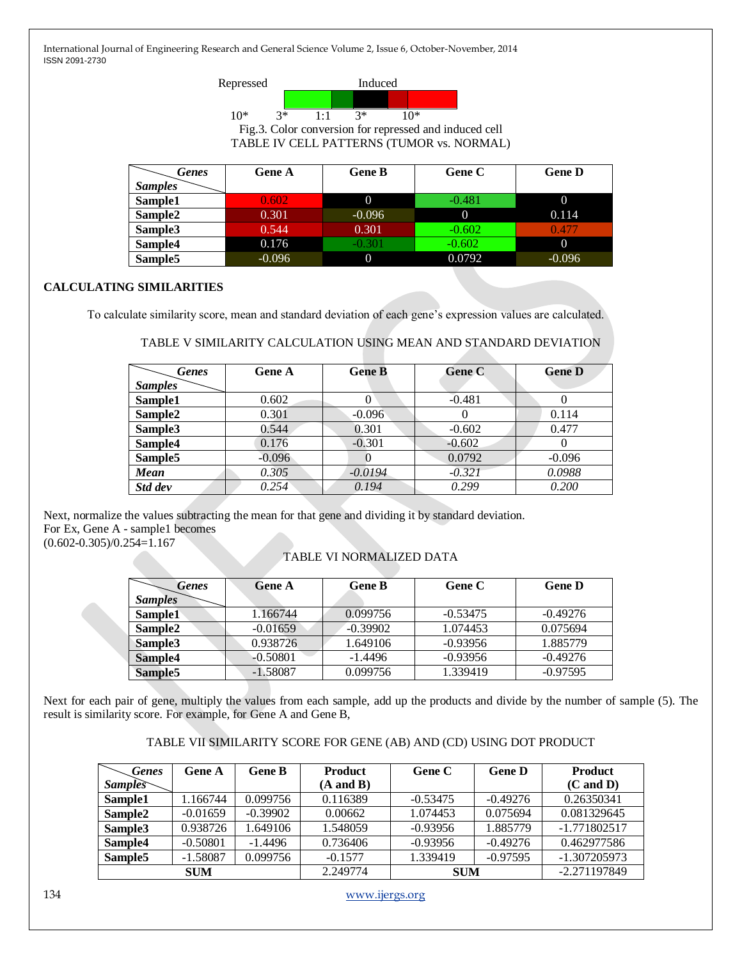

Fig.3. Color conversion for repressed and induced cell TABLE IV CELL PATTERNS (TUMOR vs. NORMAL)

| Genes               | <b>Gene A</b> | <b>Gene B</b> | Gene C   | <b>Gene D</b> |
|---------------------|---------------|---------------|----------|---------------|
| <b>Samples</b>      |               |               |          |               |
| Sample1             | 0.602         | $\Omega$      | $-0.481$ | $\theta$      |
| Sample2             | 0.301         | $-0.096$      | $\theta$ | 0.114         |
| Sample3             | 0.544         | 0.301         | $-0.602$ | 0.477         |
| Sample4             | 0.176         | $-0.301$      | $-0.602$ | $\theta$      |
| Sample <sub>5</sub> | $-0.096$      | $\theta$      | 0.0792   | $-0.096$      |

# **CALCULATING SIMILARITIES**

To calculate similarity score, mean and standard deviation of each gene's expression values are calculated.

# TABLE V SIMILARITY CALCULATION USING MEAN AND STANDARD DEVIATION

| <b>Genes</b>        | <b>Gene A</b> | <b>Gene B</b> | <b>Gene C</b> | <b>Gene D</b> |
|---------------------|---------------|---------------|---------------|---------------|
| <b>Samples</b>      |               |               |               |               |
| Sample1             | 0.602         |               | $-0.481$      |               |
| Sample <sub>2</sub> | 0.301         | $-0.096$      |               | 0.114         |
| Sample3             | 0.544         | 0.301         | $-0.602$      | 0.477         |
| Sample4             | 0.176         | $-0.301$      | $-0.602$      |               |
| Sample <sub>5</sub> | $-0.096$      |               | 0.0792        | $-0.096$      |
| <b>Mean</b>         | 0.305         | $-0.0194$     | $-0.321$      | 0.0988        |
| Std dev             | 0.254         | 0.194         | 0.299         | 0.200         |

Next, normalize the values subtracting the mean for that gene and dividing it by standard deviation. For Ex, Gene A - sample1 becomes

 $(0.602 - 0.305)/0.254 = 1.167$ 

# TABLE VI NORMALIZED DATA

| Genes          | <b>Gene A</b> | <b>Gene B</b> | <b>Gene C</b> | <b>Gene D</b> |
|----------------|---------------|---------------|---------------|---------------|
| <b>Samples</b> |               |               |               |               |
| Sample1        | 1.166744      | 0.099756      | $-0.53475$    | $-0.49276$    |
| Sample2        | $-0.01659$    | $-0.39902$    | 1.074453      | 0.075694      |
| Sample3        | 0.938726      | 1.649106      | $-0.93956$    | 1.885779      |
| Sample4        | $-0.50801$    | $-1.4496$     | $-0.93956$    | $-0.49276$    |
| Sample5        | $-1.58087$    | 0.099756      | 1.339419      | $-0.97595$    |

Next for each pair of gene, multiply the values from each sample, add up the products and divide by the number of sample (5). The result is similarity score. For example, for Gene A and Gene B,

#### TABLE VII SIMILARITY SCORE FOR GENE (AB) AND (CD) USING DOT PRODUCT

| Genes   | <b>Gene A</b> | <b>Gene B</b> | <b>Product</b>       | <b>Gene C</b> | <b>Gene D</b> | <b>Product</b>       |
|---------|---------------|---------------|----------------------|---------------|---------------|----------------------|
| Samples |               |               | $(A \text{ and } B)$ |               |               | $(C \text{ and } D)$ |
| Sample1 | .166744       | 0.099756      | 0.116389             | $-0.53475$    | $-0.49276$    | 0.26350341           |
| Sample2 | $-0.01659$    | $-0.39902$    | 0.00662              | 1.074453      | 0.075694      | 0.081329645          |
| Sample3 | 0.938726      | 1.649106      | 1.548059             | $-0.93956$    | 1.885779      | $-1.771802517$       |
| Sample4 | $-0.50801$    | $-1.4496$     | 0.736406             | $-0.93956$    | $-0.49276$    | 0.462977586          |
| Sample5 | $-1.58087$    | 0.099756      | $-0.1577$            | 1.339419      | $-0.97595$    | -1.307205973         |
|         | <b>SUM</b>    |               | 2.249774             | <b>SUM</b>    |               | -2.271197849         |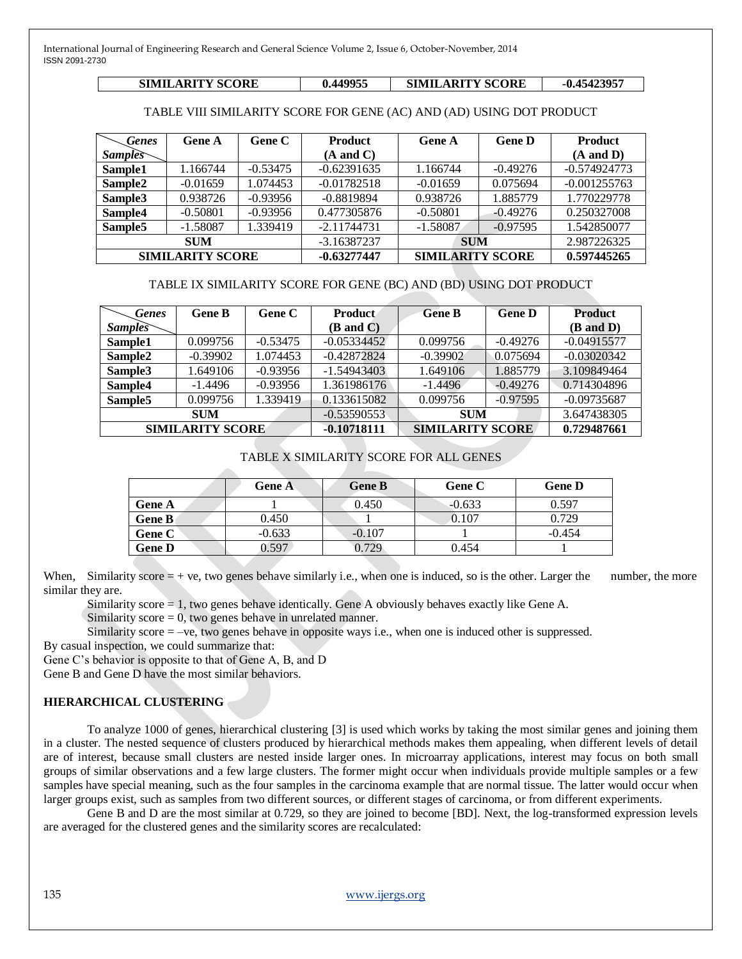| <b>SIMILARITY SCORE</b> | 0.449955 | <b>SIMILARITY SCORE</b> | $-0.45423957$ |
|-------------------------|----------|-------------------------|---------------|
|-------------------------|----------|-------------------------|---------------|

TABLE VIII SIMILARITY SCORE FOR GENE (AC) AND (AD) USING DOT PRODUCT

| <b>Genes</b>        | <b>Gene A</b>           | <b>Gene C</b> | <b>Product</b>       | <b>Gene A</b>           | <b>Gene D</b> | <b>Product</b>       |
|---------------------|-------------------------|---------------|----------------------|-------------------------|---------------|----------------------|
| <i>Samples</i>      |                         |               | $(A \text{ and } C)$ |                         |               | $(A \text{ and } D)$ |
| Sample1             | 1.166744                | $-0.53475$    | $-0.62391635$        | 1.166744                | $-0.49276$    | $-0.574924773$       |
| Sample2             | $-0.01659$              | 1.074453      | $-0.01782518$        | $-0.01659$              | 0.075694      | $-0.001255763$       |
| Sample3             | 0.938726                | $-0.93956$    | $-0.8819894$         | 0.938726                | 1.885779      | 1.770229778          |
| Sample4             | $-0.50801$              | $-0.93956$    | 0.477305876          | $-0.50801$              | $-0.49276$    | 0.250327008          |
| Sample <sub>5</sub> | $-1.58087$              | 1.339419      | $-2.11744731$        | $-1.58087$              | $-0.97595$    | 1.542850077          |
|                     | <b>SUM</b>              |               | $-3.16387237$        | <b>SUM</b>              |               | 2.987226325          |
|                     | <b>SIMILARITY SCORE</b> |               | $-0.63277447$        | <b>SIMILARITY SCORE</b> |               | 0.597445265          |

TABLE IX SIMILARITY SCORE FOR GENE (BC) AND (BD) USING DOT PRODUCT

| <b>Genes</b>        | <b>Gene B</b>           | <b>Gene C</b> | <b>Product</b> | <b>Gene B</b>           | <b>Gene D</b> | <b>Product</b>            |
|---------------------|-------------------------|---------------|----------------|-------------------------|---------------|---------------------------|
| <i>Samples</i>      |                         |               | (B and C)      |                         |               | ( <b>B</b> and <b>D</b> ) |
| Sample1             | 0.099756                | $-0.53475$    | $-0.05334452$  | 0.099756                | $-0.49276$    | $-0.04915577$             |
| Sample2             | $-0.39902$              | 1.074453      | $-0.42872824$  | $-0.39902$              | 0.075694      | $-0.03020342$             |
| Sample3             | 1.649106                | $-0.93956$    | $-1.54943403$  | 1.649106                | 1.885779      | 3.109849464               |
| Sample4             | $-1.4496$               | $-0.93956$    | 1.361986176    | $-1.4496$               | $-0.49276$    | 0.714304896               |
| Sample <sub>5</sub> | 0.099756                | 1.339419      | 0.133615082    | 0.099756                | $-0.97595$    | $-0.09735687$             |
|                     | <b>SUM</b>              |               | $-0.53590553$  | <b>SUM</b>              |               | 3.647438305               |
|                     | <b>SIMILARITY SCORE</b> |               | $-0.10718111$  | <b>SIMILARITY SCORE</b> |               | 0.729487661               |

TABLE X SIMILARITY SCORE FOR ALL GENES

|               | <b>Gene A</b> | <b>Gene B</b> | <b>Gene C</b> | <b>Gene D</b> |
|---------------|---------------|---------------|---------------|---------------|
| <b>Gene A</b> |               | 0.450         | $-0.633$      | 0.597         |
| <b>Gene B</b> | 0.450         |               | 0.107         | 0.729         |
| <b>Gene C</b> | $-0.633$      | $-0.107$      |               | $-0.454$      |
| <b>Gene D</b> | 0.597         | 0.729         | 0.454         |               |

When, Similarity score  $= +ve$ , two genes behave similarly i.e., when one is induced, so is the other. Larger the number, the more similar they are.

Similarity score  $= 1$ , two genes behave identically. Gene A obviously behaves exactly like Gene A.

Similarity score  $= 0$ , two genes behave in unrelated manner.

Similarity score  $= -ve$ , two genes behave in opposite ways i.e., when one is induced other is suppressed.

By casual inspection, we could summarize that:

Gene C's behavior is opposite to that of Gene A, B, and D

Gene B and Gene D have the most similar behaviors.

#### **HIERARCHICAL CLUSTERING**

To analyze 1000 of genes, hierarchical clustering [3] is used which works by taking the most similar genes and joining them in a cluster. The nested sequence of clusters produced by hierarchical methods makes them appealing, when different levels of detail are of interest, because small clusters are nested inside larger ones. In microarray applications, interest may focus on both small groups of similar observations and a few large clusters. The former might occur when individuals provide multiple samples or a few samples have special meaning, such as the four samples in the carcinoma example that are normal tissue. The latter would occur when larger groups exist, such as samples from two different sources, or different stages of carcinoma, or from different experiments.

Gene B and D are the most similar at 0.729, so they are joined to become [BD]. Next, the log-transformed expression levels are averaged for the clustered genes and the similarity scores are recalculated: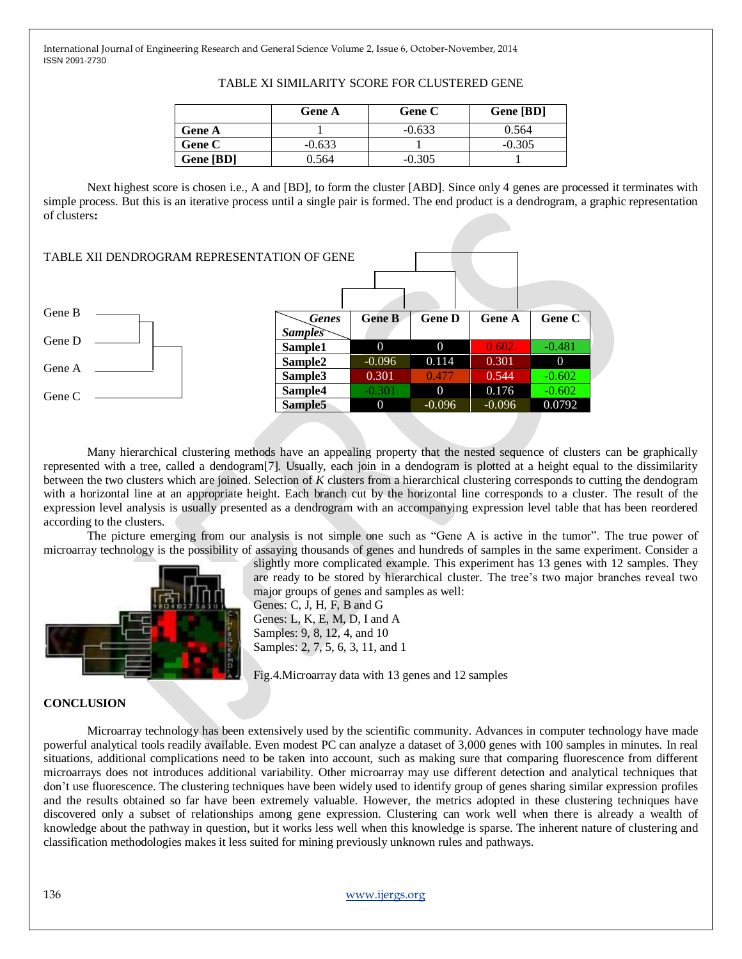|           | <b>Gene A</b> | <b>Gene C</b> | Gene [BD] |
|-----------|---------------|---------------|-----------|
| Gene A    |               | $-0.633$      | 0.564     |
| Gene C    | $-0.633$      |               | $-0.305$  |
| Gene [BD] | 0.564         | $-0.305$      |           |

#### TABLE XI SIMILARITY SCORE FOR CLUSTERED GENE

Next highest score is chosen i.e., A and [BD], to form the cluster [ABD]. Since only 4 genes are processed it terminates with simple process. But this is an iterative process until a single pair is formed. The end product is a dendrogram, a graphic representation of clusters**:** 



Many hierarchical clustering methods have an appealing property that the nested sequence of clusters can be graphically represented with a tree, called a dendogram[7]. Usually, each join in a dendogram is plotted at a height equal to the dissimilarity between the two clusters which are joined. Selection of *K* clusters from a hierarchical clustering corresponds to cutting the dendogram with a horizontal line at an appropriate height. Each branch cut by the horizontal line corresponds to a cluster. The result of the expression level analysis is usually presented as a dendrogram with an accompanying expression level table that has been reordered according to the clusters.

The picture emerging from our analysis is not simple one such as "Gene A is active in the tumor". The true power of microarray technology is the possibility of assaying thousands of genes and hundreds of samples in the same experiment. Consider a



slightly more complicated example. This experiment has 13 genes with 12 samples. They are ready to be stored by hierarchical cluster. The tree's two major branches reveal two major groups of genes and samples as well: Genes: C, J, H, F, B and G Genes: L, K, E, M, D, I and A Samples: 9, 8, 12, 4, and 10 Samples: 2, 7, 5, 6, 3, 11, and 1

Fig.4.Microarray data with 13 genes and 12 samples

#### **CONCLUSION**

Microarray technology has been extensively used by the scientific community. Advances in computer technology have made powerful analytical tools readily available. Even modest PC can analyze a dataset of 3,000 genes with 100 samples in minutes. In real situations, additional complications need to be taken into account, such as making sure that comparing fluorescence from different microarrays does not introduces additional variability. Other microarray may use different detection and analytical techniques that don't use fluorescence. The clustering techniques have been widely used to identify group of genes sharing similar expression profiles and the results obtained so far have been extremely valuable. However, the metrics adopted in these clustering techniques have discovered only a subset of relationships among gene expression. Clustering can work well when there is already a wealth of knowledge about the pathway in question, but it works less well when this knowledge is sparse. The inherent nature of clustering and classification methodologies makes it less suited for mining previously unknown rules and pathways.